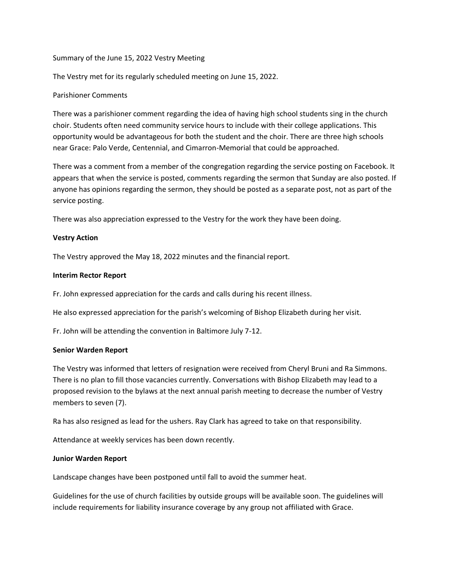Summary of the June 15, 2022 Vestry Meeting

The Vestry met for its regularly scheduled meeting on June 15, 2022.

# Parishioner Comments

There was a parishioner comment regarding the idea of having high school students sing in the church choir. Students often need community service hours to include with their college applications. This opportunity would be advantageous for both the student and the choir. There are three high schools near Grace: Palo Verde, Centennial, and Cimarron-Memorial that could be approached.

There was a comment from a member of the congregation regarding the service posting on Facebook. It appears that when the service is posted, comments regarding the sermon that Sunday are also posted. If anyone has opinions regarding the sermon, they should be posted as a separate post, not as part of the service posting.

There was also appreciation expressed to the Vestry for the work they have been doing.

# **Vestry Action**

The Vestry approved the May 18, 2022 minutes and the financial report.

### **Interim Rector Report**

Fr. John expressed appreciation for the cards and calls during his recent illness.

He also expressed appreciation for the parish's welcoming of Bishop Elizabeth during her visit.

Fr. John will be attending the convention in Baltimore July 7-12.

### **Senior Warden Report**

The Vestry was informed that letters of resignation were received from Cheryl Bruni and Ra Simmons. There is no plan to fill those vacancies currently. Conversations with Bishop Elizabeth may lead to a proposed revision to the bylaws at the next annual parish meeting to decrease the number of Vestry members to seven (7).

Ra has also resigned as lead for the ushers. Ray Clark has agreed to take on that responsibility.

Attendance at weekly services has been down recently.

### **Junior Warden Report**

Landscape changes have been postponed until fall to avoid the summer heat.

Guidelines for the use of church facilities by outside groups will be available soon. The guidelines will include requirements for liability insurance coverage by any group not affiliated with Grace.